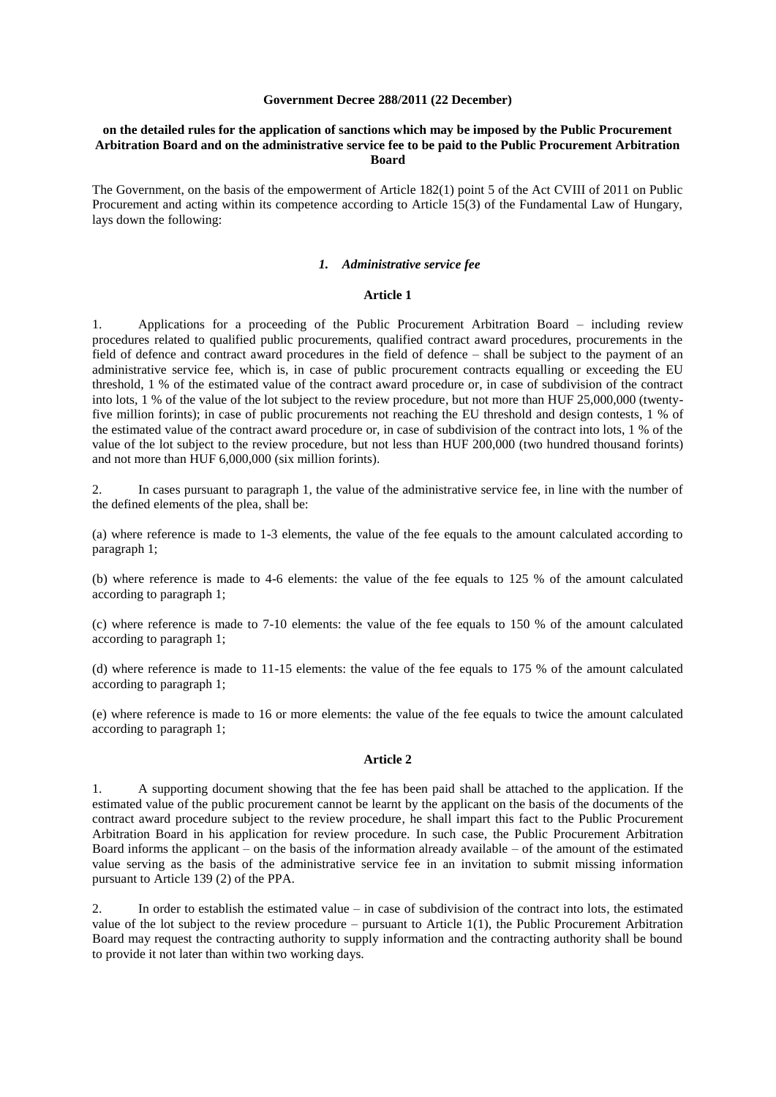#### **Government Decree 288/2011 (22 December)**

### **on the detailed rules for the application of sanctions which may be imposed by the Public Procurement Arbitration Board and on the administrative service fee to be paid to the Public Procurement Arbitration Board**

The Government, on the basis of the empowerment of Article 182(1) point 5 of the Act CVIII of 2011 on Public Procurement and acting within its competence according to Article 15(3) of the Fundamental Law of Hungary, lays down the following:

## *1. Administrative service fee*

## **Article 1**

1. Applications for a proceeding of the Public Procurement Arbitration Board – including review procedures related to qualified public procurements, qualified contract award procedures, procurements in the field of defence and contract award procedures in the field of defence – shall be subject to the payment of an administrative service fee, which is, in case of public procurement contracts equalling or exceeding the EU threshold, 1 % of the estimated value of the contract award procedure or, in case of subdivision of the contract into lots, 1 % of the value of the lot subject to the review procedure, but not more than HUF 25,000,000 (twentyfive million forints); in case of public procurements not reaching the EU threshold and design contests, 1 % of the estimated value of the contract award procedure or, in case of subdivision of the contract into lots, 1 % of the value of the lot subject to the review procedure, but not less than HUF 200,000 (two hundred thousand forints) and not more than HUF 6,000,000 (six million forints).

2. In cases pursuant to paragraph 1, the value of the administrative service fee, in line with the number of the defined elements of the plea, shall be:

(a) where reference is made to 1-3 elements, the value of the fee equals to the amount calculated according to paragraph 1;

(b) where reference is made to 4-6 elements: the value of the fee equals to 125 % of the amount calculated according to paragraph 1;

(c) where reference is made to 7-10 elements: the value of the fee equals to 150 % of the amount calculated according to paragraph 1;

(d) where reference is made to 11-15 elements: the value of the fee equals to 175 % of the amount calculated according to paragraph 1;

(e) where reference is made to 16 or more elements: the value of the fee equals to twice the amount calculated according to paragraph 1;

#### **Article 2**

1. A supporting document showing that the fee has been paid shall be attached to the application. If the estimated value of the public procurement cannot be learnt by the applicant on the basis of the documents of the contract award procedure subject to the review procedure, he shall impart this fact to the Public Procurement Arbitration Board in his application for review procedure. In such case, the Public Procurement Arbitration Board informs the applicant – on the basis of the information already available – of the amount of the estimated value serving as the basis of the administrative service fee in an invitation to submit missing information pursuant to Article 139 (2) of the PPA.

2. In order to establish the estimated value – in case of subdivision of the contract into lots, the estimated value of the lot subject to the review procedure – pursuant to Article  $1(1)$ , the Public Procurement Arbitration Board may request the contracting authority to supply information and the contracting authority shall be bound to provide it not later than within two working days.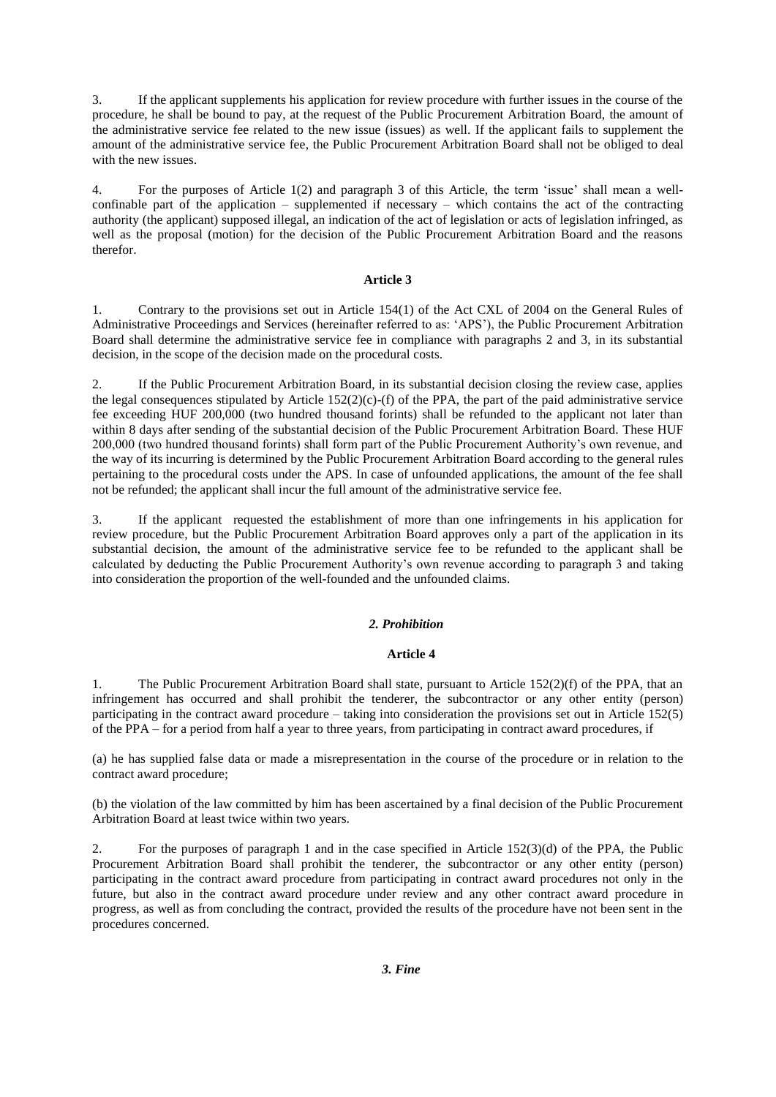3. If the applicant supplements his application for review procedure with further issues in the course of the procedure, he shall be bound to pay, at the request of the Public Procurement Arbitration Board, the amount of the administrative service fee related to the new issue (issues) as well. If the applicant fails to supplement the amount of the administrative service fee, the Public Procurement Arbitration Board shall not be obliged to deal with the new issues.

4. For the purposes of Article 1(2) and paragraph 3 of this Article, the term 'issue' shall mean a wellconfinable part of the application – supplemented if necessary – which contains the act of the contracting authority (the applicant) supposed illegal, an indication of the act of legislation or acts of legislation infringed, as well as the proposal (motion) for the decision of the Public Procurement Arbitration Board and the reasons therefor.

# **Article 3**

1. Contrary to the provisions set out in Article 154(1) of the Act CXL of 2004 on the General Rules of Administrative Proceedings and Services (hereinafter referred to as: 'APS'), the Public Procurement Arbitration Board shall determine the administrative service fee in compliance with paragraphs 2 and 3, in its substantial decision, in the scope of the decision made on the procedural costs.

2. If the Public Procurement Arbitration Board, in its substantial decision closing the review case, applies the legal consequences stipulated by Article  $152(2)(c)$ -(f) of the PPA, the part of the paid administrative service fee exceeding HUF 200,000 (two hundred thousand forints) shall be refunded to the applicant not later than within 8 days after sending of the substantial decision of the Public Procurement Arbitration Board. These HUF 200,000 (two hundred thousand forints) shall form part of the Public Procurement Authority's own revenue, and the way of its incurring is determined by the Public Procurement Arbitration Board according to the general rules pertaining to the procedural costs under the APS. In case of unfounded applications, the amount of the fee shall not be refunded; the applicant shall incur the full amount of the administrative service fee.

3. If the applicant requested the establishment of more than one infringements in his application for review procedure, but the Public Procurement Arbitration Board approves only a part of the application in its substantial decision, the amount of the administrative service fee to be refunded to the applicant shall be calculated by deducting the Public Procurement Authority's own revenue according to paragraph 3 and taking into consideration the proportion of the well-founded and the unfounded claims.

# *2. Prohibition*

# **Article 4**

1. The Public Procurement Arbitration Board shall state, pursuant to Article 152(2)(f) of the PPA, that an infringement has occurred and shall prohibit the tenderer, the subcontractor or any other entity (person) participating in the contract award procedure – taking into consideration the provisions set out in Article 152(5) of the PPA – for a period from half a year to three years, from participating in contract award procedures, if

(a) he has supplied false data or made a misrepresentation in the course of the procedure or in relation to the contract award procedure;

(b) the violation of the law committed by him has been ascertained by a final decision of the Public Procurement Arbitration Board at least twice within two years.

2. For the purposes of paragraph 1 and in the case specified in Article 152(3)(d) of the PPA, the Public Procurement Arbitration Board shall prohibit the tenderer, the subcontractor or any other entity (person) participating in the contract award procedure from participating in contract award procedures not only in the future, but also in the contract award procedure under review and any other contract award procedure in progress, as well as from concluding the contract, provided the results of the procedure have not been sent in the procedures concerned.